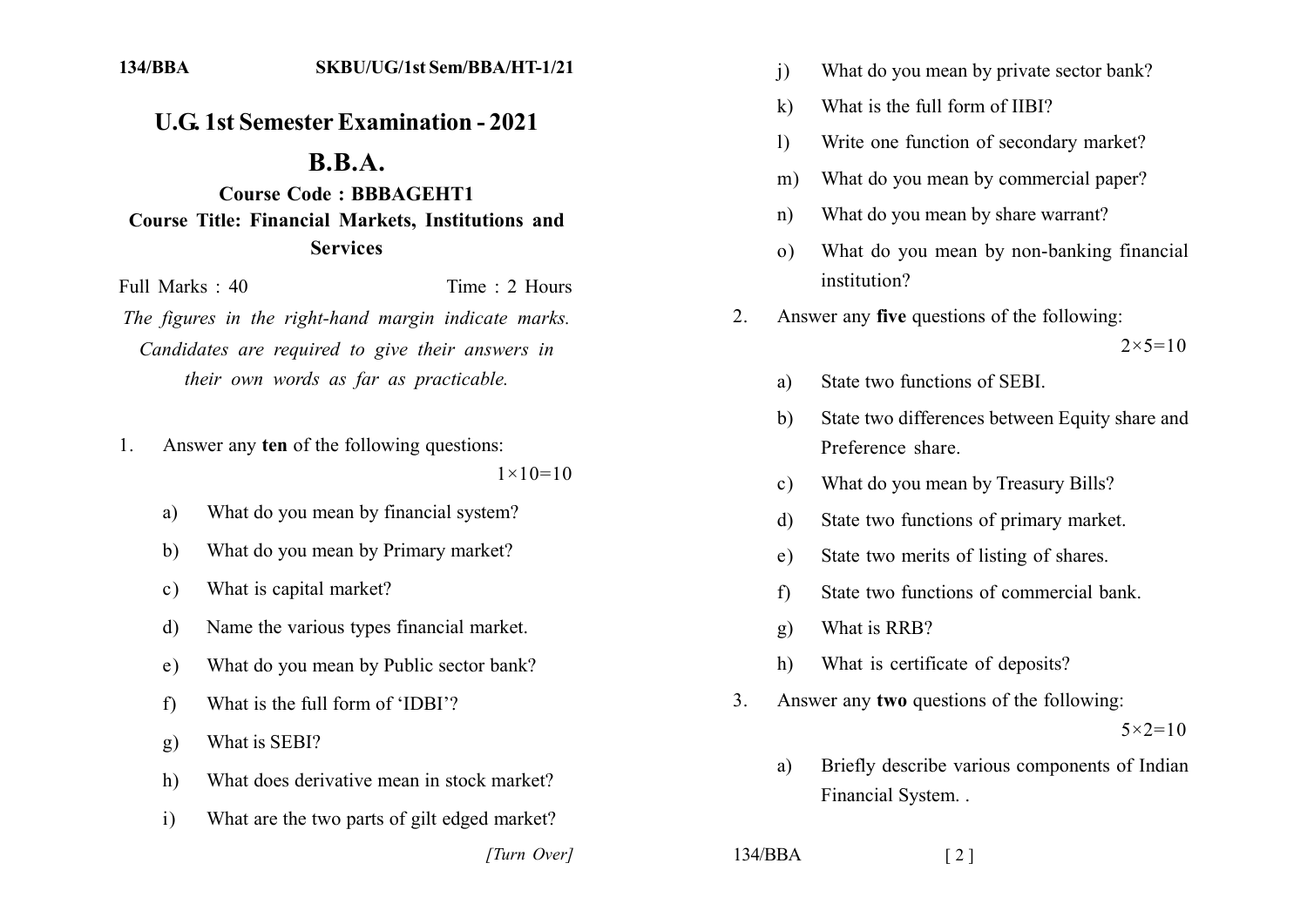## **U.G. 1st Semester Examination - 2021**

## $B.B.A.$

**Course Code: BBBAGEHT1 Course Title: Financial Markets, Institutions and Services** 

Full Marks  $\cdot$  40 Time  $\cdot$  2 Hours

The figures in the right-hand margin indicate marks. Candidates are required to give their answers in their own words as far as practicable.

Answer any ten of the following questions: 1.

 $1 \times 10 = 10$ 

- What do you mean by financial system? a)
- What do you mean by Primary market?  $\mathbf{b}$
- What is capital market?  $c)$
- Name the various types financial market. d)
- What do you mean by Public sector bank?  $e)$
- What is the full form of 'IDBI'?  $f$
- What is SEBI?  $g)$
- $h)$ What does derivative mean in stock market?
- What are the two parts of gilt edged market?  $i)$

[Turn Over]

- $\overline{1}$ What do you mean by private sector bank?
- What is the full form of IIBI?  $\bf k$
- Write one function of secondary market?  $\left| \right\rangle$
- What do you mean by commercial paper?  $m)$
- What do you mean by share warrant?  $n)$
- What do you mean by non-banking financial  $\Omega$ institution?
- Answer any **five** questions of the following:  $2^{\circ}$

 $2 \times 5 = 10$ 

- State two functions of SEBI a)
- State two differences between Equity share and b) Preference share
- What do you mean by Treasury Bills?  $c)$
- State two functions of primary market. d)
- State two merits of listing of shares.  $e)$
- State two functions of commercial bank.  $f$
- What is RRB? **g)**
- What is certificate of deposits?  $h)$
- Answer any two questions of the following:  $\mathcal{E}$  $5 \times 2 = 10$ 
	- Briefly describe various components of Indian  $\mathbf{a}$ Financial System...

 $\lceil 2 \rceil$ 

 $134/BBA$